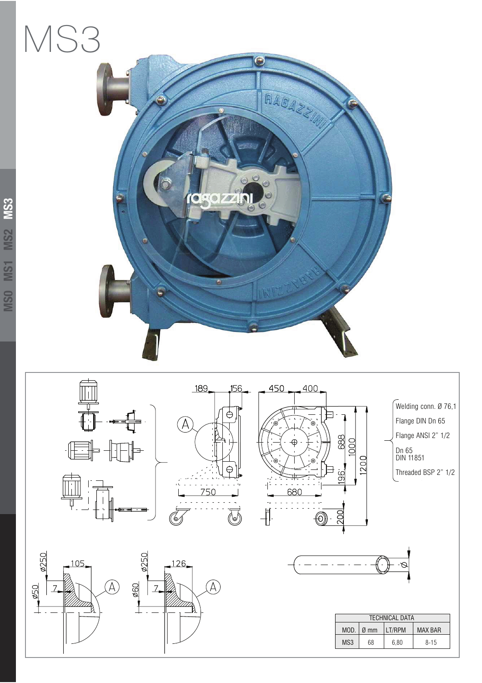## MS3





 $\widehat{\mathcal{A}}$ 

**2250** 

 $\overline{7}$ 

 $-960$ 

126

Ø250

,050

 $10<sup>5</sup>$ 



ſÂ





| <b>TECHNICAL DATA</b> |                                              |      |          |  |
|-----------------------|----------------------------------------------|------|----------|--|
| MOD.                  | LT/RPM<br><b>MAX BAR</b><br>$\varnothing$ mm |      |          |  |
| MS <sub>3</sub>       | 68                                           | 6.80 | $8 - 15$ |  |

Welding conn. Ø 76,1 Flange DIN Dn 65 Flange ANSI 2" 1/2

Threaded BSP 2" 1/2

Dn 65 DIN 11851